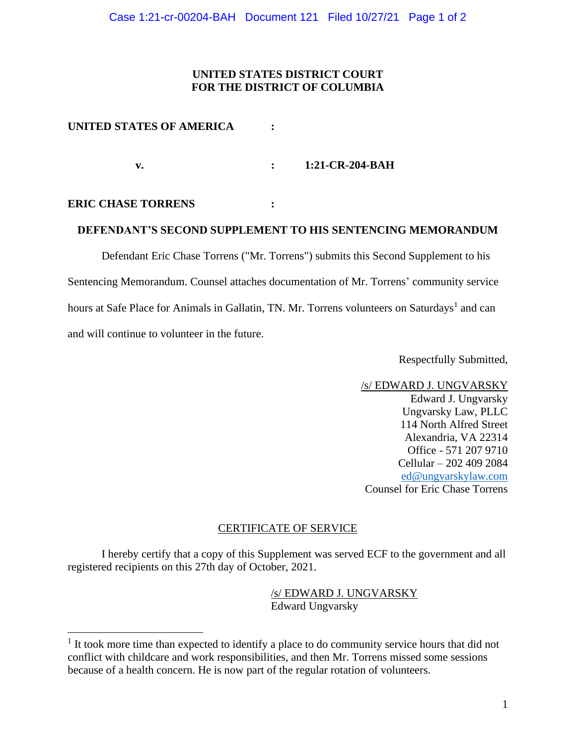# **UNITED STATES DISTRICT COURT FOR THE DISTRICT OF COLUMBIA**

## **UNITED STATES OF AMERICA :**

**v. : 1:21-CR-204-BAH**

#### **ERIC CHASE TORRENS :**

## **DEFENDANT'S SECOND SUPPLEMENT TO HIS SENTENCING MEMORANDUM**

Defendant Eric Chase Torrens ("Mr. Torrens") submits this Second Supplement to his Sentencing Memorandum. Counsel attaches documentation of Mr. Torrens' community service hours at Safe Place for Animals in Gallatin, TN. Mr. Torrens volunteers on Saturdays<sup>1</sup> and can and will continue to volunteer in the future.

Respectfully Submitted,

/s/ EDWARD J. UNGVARSKY Edward J. Ungvarsky Ungvarsky Law, PLLC 114 North Alfred Street Alexandria, VA 22314 Office - 571 207 9710 Cellular – 202 409 2084 ed@ungvarskylaw.com Counsel for Eric Chase Torrens

#### CERTIFICATE OF SERVICE

I hereby certify that a copy of this Supplement was served ECF to the government and all registered recipients on this 27th day of October, 2021.

> /s/ EDWARD J. UNGVARSKY Edward Ungvarsky

 $<sup>1</sup>$  It took more time than expected to identify a place to do community service hours that did not</sup> conflict with childcare and work responsibilities, and then Mr. Torrens missed some sessions because of a health concern. He is now part of the regular rotation of volunteers.